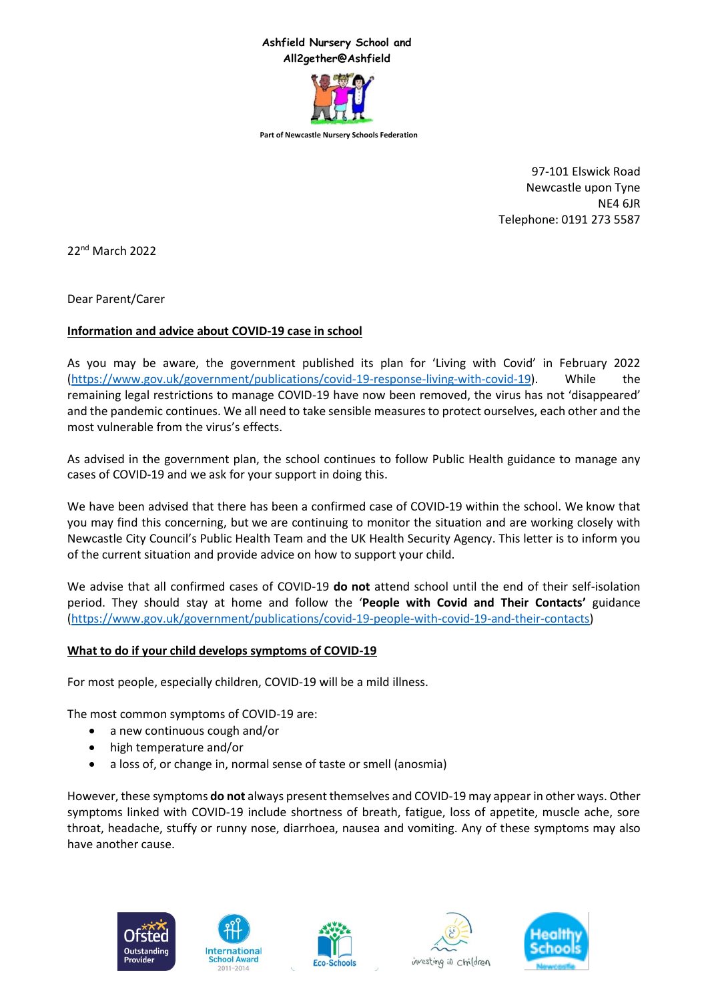# **Ashfield Nursery School and All2gether@Ashfield**



**Part of Newcastle Nursery Schools Federation**

97-101 Elswick Road Newcastle upon Tyne NE4 6JR Telephone: 0191 273 5587

22nd March 2022

Dear Parent/Carer

# **Information and advice about COVID-19 case in school**

As you may be aware, the government published its plan for 'Living with Covid' in February 2022 [\(https://www.gov.uk/government/publications/covid-19-response-living-with-covid-19\)](https://www.gov.uk/government/publications/covid-19-response-living-with-covid-19). While the remaining legal restrictions to manage COVID-19 have now been removed, the virus has not 'disappeared' and the pandemic continues. We all need to take sensible measures to protect ourselves, each other and the most vulnerable from the virus's effects.

As advised in the government plan, the school continues to follow Public Health guidance to manage any cases of COVID-19 and we ask for your support in doing this.

We have been advised that there has been a confirmed case of COVID-19 within the school. We know that you may find this concerning, but we are continuing to monitor the situation and are working closely with Newcastle City Council's Public Health Team and the UK Health Security Agency. This letter is to inform you of the current situation and provide advice on how to support your child.

We advise that all confirmed cases of COVID-19 **do not** attend school until the end of their self-isolation period. They should stay at home and follow the '**People with Covid and Their Contacts'** guidance [\(https://www.gov.uk/government/publications/covid-19-people-with-covid-19-and-their-contacts\)](https://www.gov.uk/government/publications/covid-19-people-with-covid-19-and-their-contacts)

#### **What to do if your child develops symptoms of COVID-19**

For most people, especially children, COVID-19 will be a mild illness.

The most common symptoms of COVID-19 are:

- a new continuous cough and/or
- high temperature and/or
- a loss of, or change in, normal sense of taste or smell (anosmia)

However, these symptoms **do not** always present themselves and COVID-19 may appear in other ways. Other symptoms linked with COVID-19 include shortness of breath, fatigue, loss of appetite, muscle ache, sore throat, headache, stuffy or runny nose, diarrhoea, nausea and vomiting. Any of these symptoms may also have another cause.









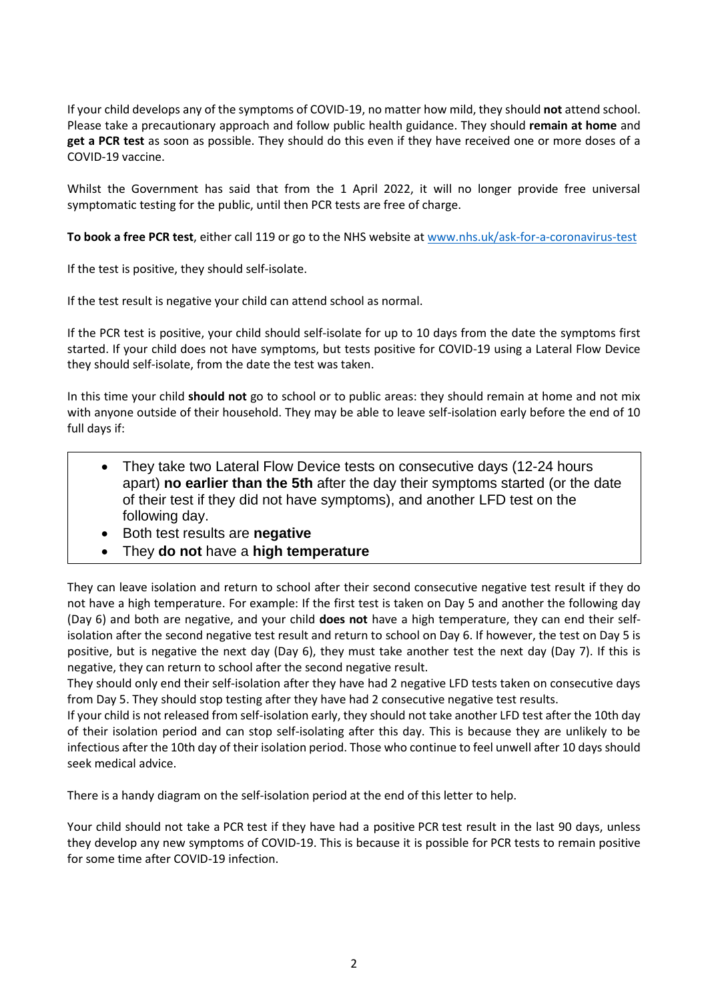If your child develops any of the symptoms of COVID-19, no matter how mild, they should **not** attend school. Please take a precautionary approach and follow public health guidance. They should **remain at home** and **get a PCR test** as soon as possible. They should do this even if they have received one or more doses of a COVID-19 vaccine.

Whilst the Government has said that from the 1 April 2022, it will no longer provide free universal symptomatic testing for the public, until then PCR tests are free of charge.

**To book a free PCR test**, either call 119 or go to the NHS website a[t www.nhs.uk/ask-for-a-coronavirus-test](https://www.nhs.uk/ask-for-a-coronavirus-test) 

If the test is positive, they should self-isolate.

If the test result is negative your child can attend school as normal.

If the PCR test is positive, your child should self-isolate for up to 10 days from the date the symptoms first started. If your child does not have symptoms, but tests positive for COVID-19 using a Lateral Flow Device they should self-isolate, from the date the test was taken.

In this time your child **should not** go to school or to public areas: they should remain at home and not mix with anyone outside of their household. They may be able to leave self-isolation early before the end of 10 full days if:

- They take two Lateral Flow Device tests on consecutive days (12-24 hours apart) **no earlier than the 5th** after the day their symptoms started (or the date of their test if they did not have symptoms), and another LFD test on the following day.
- Both test results are **negative**
- They **do not** have a **high temperature**

They can leave isolation and return to school after their second consecutive negative test result if they do not have a high temperature. For example: If the first test is taken on Day 5 and another the following day (Day 6) and both are negative, and your child **does not** have a high temperature, they can end their selfisolation after the second negative test result and return to school on Day 6. If however, the test on Day 5 is positive, but is negative the next day (Day 6), they must take another test the next day (Day 7). If this is negative, they can return to school after the second negative result.

They should only end their self-isolation after they have had 2 negative LFD tests taken on consecutive days from Day 5. They should stop testing after they have had 2 consecutive negative test results.

If your child is not released from self-isolation early, they should not take another LFD test after the 10th day of their isolation period and can stop self-isolating after this day. This is because they are unlikely to be infectious after the 10th day of their isolation period. Those who continue to feel unwell after 10 days should seek medical advice.

There is a handy diagram on the self-isolation period at the end of this letter to help.

Your child should not take a PCR test if they have had a positive PCR test result in the last 90 days, unless they develop any new symptoms of COVID-19. This is because it is possible for PCR tests to remain positive for some time after COVID-19 infection.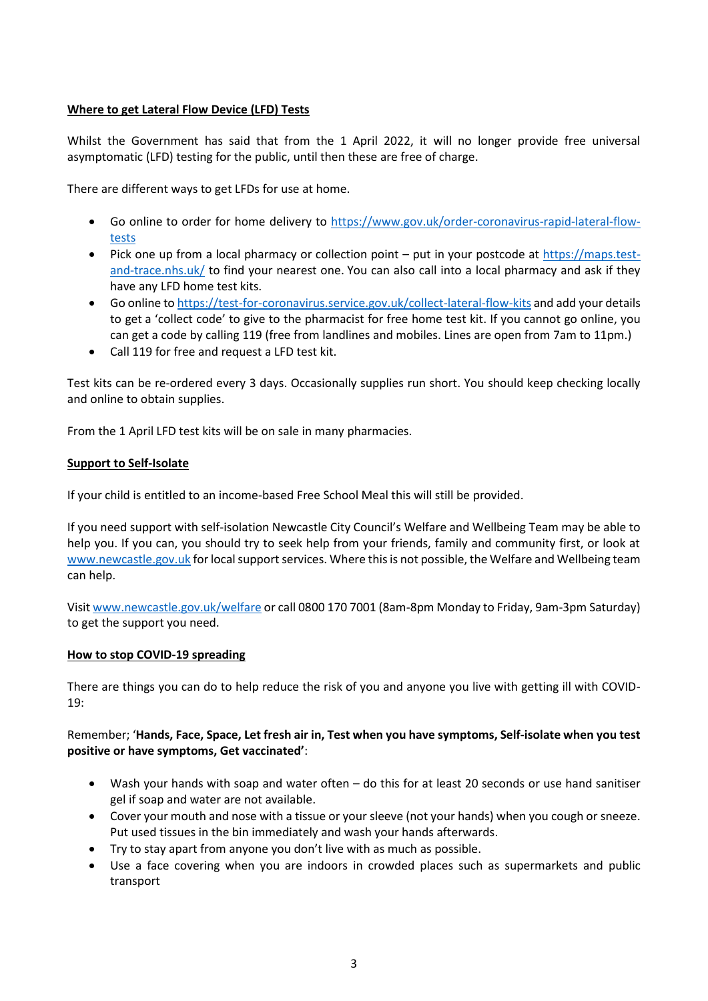# **Where to get Lateral Flow Device (LFD) Tests**

Whilst the Government has said that from the 1 April 2022, it will no longer provide free universal asymptomatic (LFD) testing for the public, until then these are free of charge.

There are different ways to get LFDs for use at home.

- Go online to order for home delivery to [https://www.gov.uk/order-coronavirus-rapid-lateral-flow](https://www.gov.uk/order-coronavirus-rapid-lateral-flow-tests)[tests](https://www.gov.uk/order-coronavirus-rapid-lateral-flow-tests)
- Pick one up from a local pharmacy or collection point put in your postcode at [https://maps.test](https://maps.test-and-trace.nhs.uk/)[and-trace.nhs.uk/](https://maps.test-and-trace.nhs.uk/) to find your nearest one. You can also call into a local pharmacy and ask if they have any LFD home test kits.
- Go online to<https://test-for-coronavirus.service.gov.uk/collect-lateral-flow-kits> and add your details to get a 'collect code' to give to the pharmacist for free home test kit. If you cannot go online, you can get a code by calling 119 (free from landlines and mobiles. Lines are open from 7am to 11pm.)
- Call 119 for free and request a LFD test kit.

Test kits can be re-ordered every 3 days. Occasionally supplies run short. You should keep checking locally and online to obtain supplies.

From the 1 April LFD test kits will be on sale in many pharmacies.

### **Support to Self-Isolate**

If your child is entitled to an income-based Free School Meal this will still be provided.

If you need support with self-isolation Newcastle City Council's Welfare and Wellbeing Team may be able to help you. If you can, you should try to seek help from your friends, family and community first, or look at [www.newcastle.gov.uk](http://www.newcastle.gov.uk/) for local support services. Where this is not possible, the Welfare and Wellbeing team can help.

Visit [www.newcastle.gov.uk/welfare](http://www.newcastle.gov.uk/welfarei) or call 0800 170 7001 (8am-8pm Monday to Friday, 9am-3pm Saturday) to get the support you need.

#### **How to stop COVID-19 spreading**

There are things you can do to help reduce the risk of you and anyone you live with getting ill with COVID-19:

### Remember; '**Hands, Face, Space, Let fresh air in, Test when you have symptoms, Self-isolate when you test positive or have symptoms, Get vaccinated'**:

- Wash your hands with soap and water often do this for at least 20 seconds or use hand sanitiser gel if soap and water are not available.
- Cover your mouth and nose with a tissue or your sleeve (not your hands) when you cough or sneeze. Put used tissues in the bin immediately and wash your hands afterwards.
- Try to stay apart from anyone you don't live with as much as possible.
- Use a face covering when you are indoors in crowded places such as supermarkets and public transport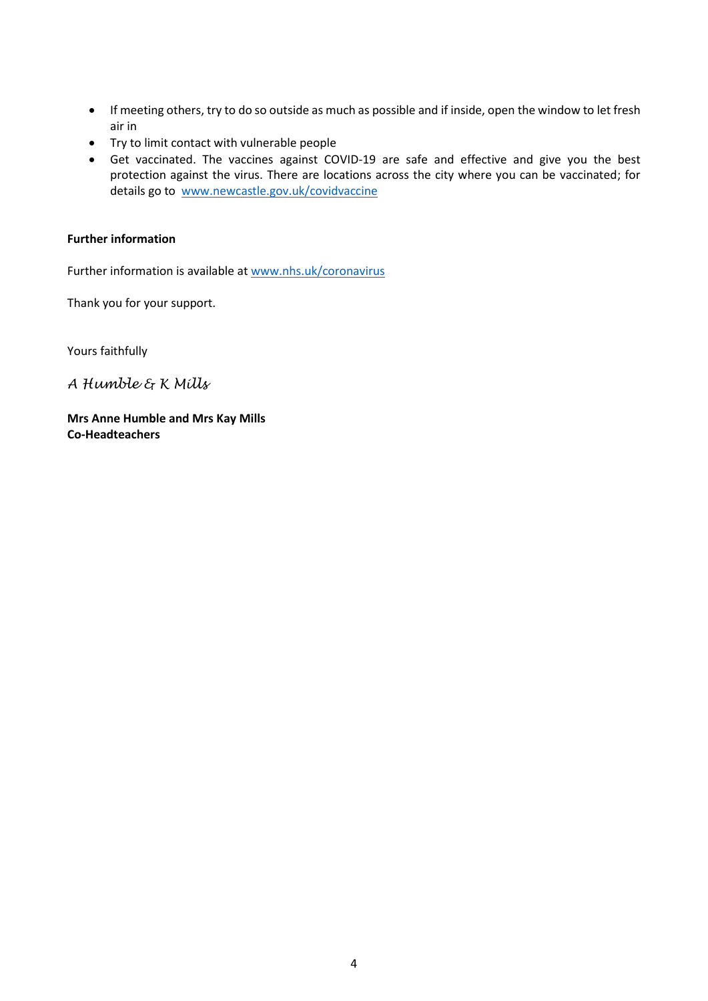- If meeting others, try to do so outside as much as possible and if inside, open the window to let fresh air in
- Try to limit contact with vulnerable people
- Get vaccinated. The vaccines against COVID-19 are safe and effective and give you the best protection against the virus. There are locations across the city where you can be vaccinated; for details go to [www.newcastle.gov.uk/covidvaccine](http://www.newcastle.gov.uk/covidvaccine)

### **Further information**

Further information is available at [www.nhs.uk/coronavirus](http://www.nhs.uk/coronavirus)

Thank you for your support.

Yours faithfully

*A Humble & K Mills*

**Mrs Anne Humble and Mrs Kay Mills Co-Headteachers**